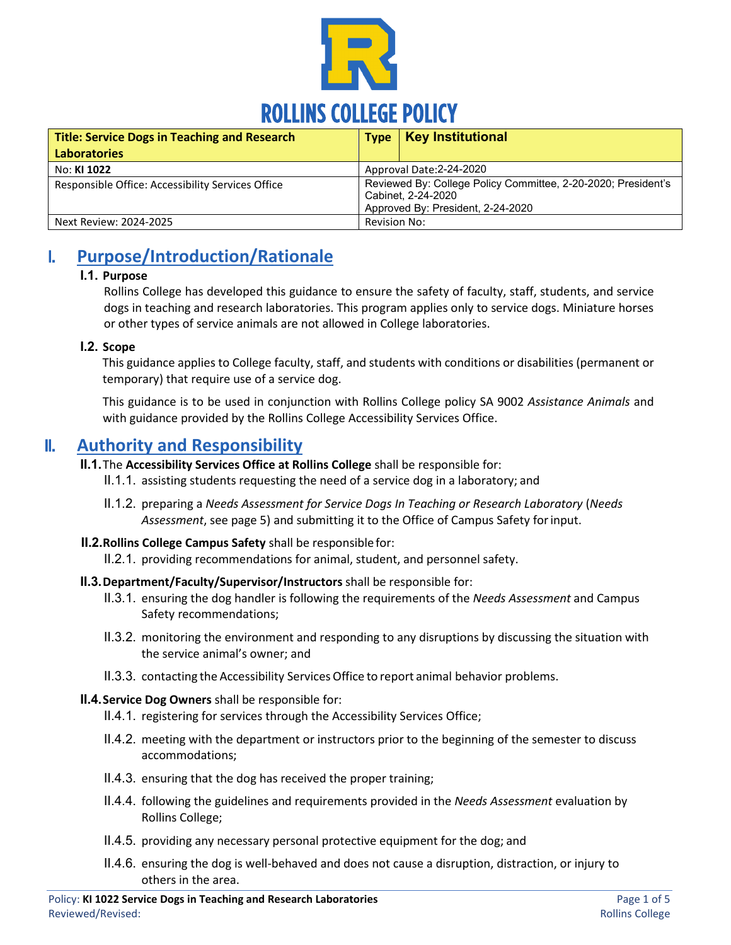

| <b>Title: Service Dogs in Teaching and Research</b> |                                                                                                                          | Type   Key Institutional |  |
|-----------------------------------------------------|--------------------------------------------------------------------------------------------------------------------------|--------------------------|--|
| <b>Laboratories</b>                                 |                                                                                                                          |                          |  |
| No: KI 1022                                         | Approval Date: 2-24-2020                                                                                                 |                          |  |
| Responsible Office: Accessibility Services Office   | Reviewed By: College Policy Committee, 2-20-2020; President's<br>Cabinet, 2-24-2020<br>Approved By: President, 2-24-2020 |                          |  |
| Next Review: 2024-2025                              | Revision No:                                                                                                             |                          |  |

## I. **Purpose/Introduction/Rationale**

#### **I.1. Purpose**

Rollins College has developed this guidance to ensure the safety of faculty, staff, students, and service dogs in teaching and research laboratories. This program applies only to service dogs. Miniature horses or other types of service animals are not allowed in College laboratories.

#### **I.2. Scope**

This guidance applies to College faculty, staff, and students with conditions or disabilities (permanent or temporary) that require use of a service dog.

This guidance is to be used in conjunction with Rollins College policy SA 9002 *Assistance Animals* and with guidance provided by the Rollins College Accessibility Services Office.

### II. **Authority and Responsibility**

#### **II.1.**The **Accessibility Services Office at Rollins College** shall be responsible for:

- II.1.1. assisting students requesting the need of a service dog in a laboratory; and
- II.1.2. preparing a *Needs Assessment for Service Dogs In Teaching or Research Laboratory* (*Needs Assessment*, see page 5) and submitting it to the Office of Campus Safety forinput.
- **II.2.Rollins College Campus Safety** shall be responsiblefor:
	- II.2.1. providing recommendations for animal, student, and personnel safety.
- **II.3.Department/Faculty/Supervisor/Instructors** shall be responsible for:
	- II.3.1. ensuring the dog handler is following the requirements of the *Needs Assessment* and Campus Safety recommendations;
	- II.3.2. monitoring the environment and responding to any disruptions by discussing the situation with the service animal's owner; and
	- II.3.3. contacting the Accessibility Services Office to report animal behavior problems.

#### **II.4.Service Dog Owners** shall be responsible for:

- II.4.1. registering for services through the [Accessibility Services Office;](http://ada.iu.edu/%7Eada/students/index.shtml)
- II.4.2. meeting with the department or instructors prior to the beginning of the semester to discuss accommodations;
- II.4.3. ensuring that the dog has received the proper training;
- II.4.4. following the guidelines and requirements provided in the *Needs Assessment* evaluation by Rollins College;
- II.4.5. providing any necessary personal protective equipment for the dog; and
- II.4.6. ensuring the dog is well-behaved and does not cause a disruption, distraction, or injury to others in the area.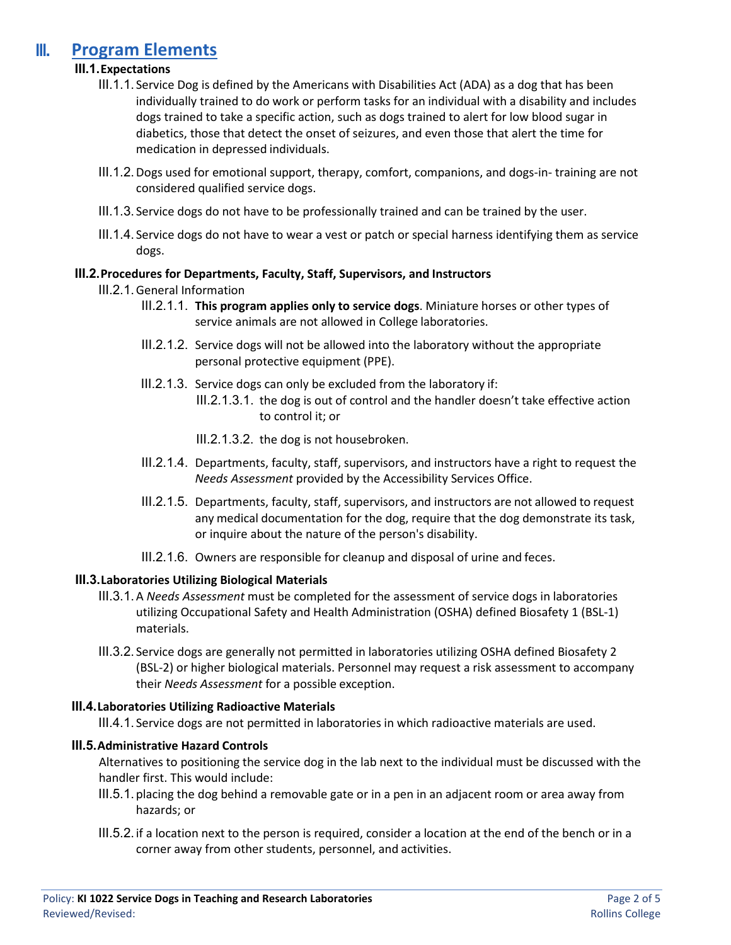### III. **Program Elements**

#### **III.1.Expectations**

- III.1.1. Service Dog is defined by the Americans with Disabilities Act (ADA) as a dog that has been individually trained to do work or perform tasks for an individual with a disability and includes dogs trained to take a specific action, such as dogs trained to alert for low blood sugar in diabetics, those that detect the onset of seizures, and even those that alert the time for medication in depressed individuals.
- III.1.2.Dogs used for emotional support, therapy, comfort, companions, and dogs-in- training are not considered qualified service dogs.
- III.1.3. Service dogs do not have to be professionally trained and can be trained by the user.
- III.1.4. Service dogs do not have to wear a vest or patch or special harness identifying them as service dogs.

#### **III.2.Procedures for Departments, Faculty, Staff, Supervisors, and Instructors**

#### III.2.1.General Information

- III.2.1.1. **This program applies only to service dogs**. Miniature horses or other types of service animals are not allowed in College laboratories.
- III.2.1.2. Service dogs will not be allowed into the laboratory without the appropriate personal protective equipment (PPE).
- III.2.1.3. Service dogs can only be excluded from the laboratory if:
	- III.2.1.3.1. the dog is out of control and the handler doesn't take effective action to control it; or
		- III.2.1.3.2. the dog is not housebroken.
- III.2.1.4. Departments, faculty, staff, supervisors, and instructors have a right to request the *Needs Assessment* provided by the Accessibility Services Office.
- III.2.1.5. Departments, faculty, staff, supervisors, and instructors are not allowed to request any medical documentation for the dog, require that the dog demonstrate its task, or inquire about the nature of the person's disability.
- III.2.1.6. Owners are responsible for cleanup and disposal of urine and feces.

#### **III.3.Laboratories Utilizing Biological Materials**

- III.3.1.A *Needs Assessment* must be completed for the assessment of service dogs in laboratories utilizing Occupational Safety and Health Administration (OSHA) defined Biosafety 1 (BSL-1) materials.
- III.3.2. Service dogs are generally not permitted in laboratories utilizing OSHA defined Biosafety 2 (BSL-2) or higher biological materials. Personnel may request a risk assessment to accompany their *Needs Assessment* for a possible exception.

#### **III.4.Laboratories Utilizing Radioactive Materials**

III.4.1. Service dogs are not permitted in laboratories in which radioactive materials are used.

#### **III.5.Administrative Hazard Controls**

Alternatives to positioning the service dog in the lab next to the individual must be discussed with the handler first. This would include:

- III.5.1.placing the dog behind a removable gate or in a pen in an adjacent room or area away from hazards; or
- III.5.2.if a location next to the person is required, consider a location at the end of the bench or in a corner away from other students, personnel, and activities.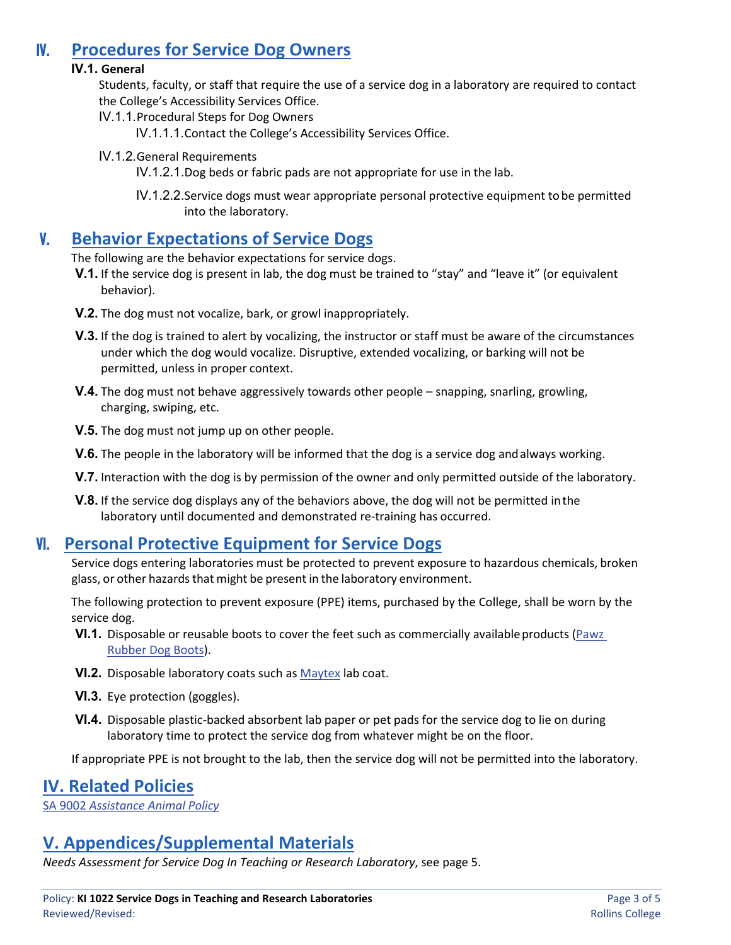## IV. **Procedures for Service Dog Owners**

#### **IV.1. General**

Students, faculty, or staff that require the use of a service dog in a laboratory are required to contact the College's Accessibility Services Office.

IV.1.1.Procedural Steps for Dog Owners

IV.1.1.1.Contact the College's Accessibility Services Office.

IV.1.2.General Requirements

IV.1.2.1.Dog beds or fabric pads are not appropriate for use in the lab.

IV.1.2.2.Service dogs must wear appropriate personal protective equipment to be permitted into the laboratory.

### V. **Behavior Expectations of Service Dogs**

The following are the behavior expectations for service dogs.

- **V.1.** If the service dog is present in lab, the dog must be trained to "stay" and "leave it" (or equivalent behavior).
- **V.2.** The dog must not vocalize, bark, or growl inappropriately.
- **V.3.** If the dog is trained to alert by vocalizing, the instructor or staff must be aware of the circumstances under which the dog would vocalize. Disruptive, extended vocalizing, or barking will not be permitted, unless in proper context.
- **V.4.** The dog must not behave aggressively towards other people snapping, snarling, growling, charging, swiping, etc.
- **V.5.** The dog must not jump up on other people.
- **V.6.** The people in the laboratory will be informed that the dog is a service dog and always working.
- **V.7.** Interaction with the dog is by permission of the owner and only permitted outside of the laboratory.
- **V.8.** If the service dog displays any of the behaviors above, the dog will not be permitted inthe laboratory until documented and demonstrated re-training has occurred.

## VI. **Personal Protective Equipment for Service Dogs**

Service dogs entering laboratories must be protected to prevent exposure to hazardous chemicals, broken glass, or other hazards that might be present in the laboratory environment.

The following protection to prevent exposure (PPE) items, purchased by the College, shall be worn by the service dog.

- **VI.1.** Disposable or reusable boots to cover the feet such as commercially available products (Pawz [Rubber Dog](https://www.pawzdogboots.com/) Boots).
- **VI.2.** Disposable laboratory coats such as [Maytex](http://www.maytexcorp.com/products_apparel.htm) lab coat.
- **VI.3.** Eye protection (goggles).
- **VI.4.** Disposable plastic-backed absorbent lab paper or pet pads for the service dog to lie on during laboratory time to protect the service dog from whatever might be on the floor.

If appropriate PPE is not brought to the lab, then the service dog will not be permitted into the laboratory.

### **IV. Related Policies**

SA 9002 *[Assistance Animal Policy](https://rpublic.rollins.edu/sites/IR/Student%20Affairs%20Policies/SA%209002%20Assistance%20Animal%20Policy%20Rev.%202%203-18-2019.pdf)*

## **V. Appendices/Supplemental Materials**

*Needs Assessment for Service Dog In Teaching or Research Laboratory*, see page 5.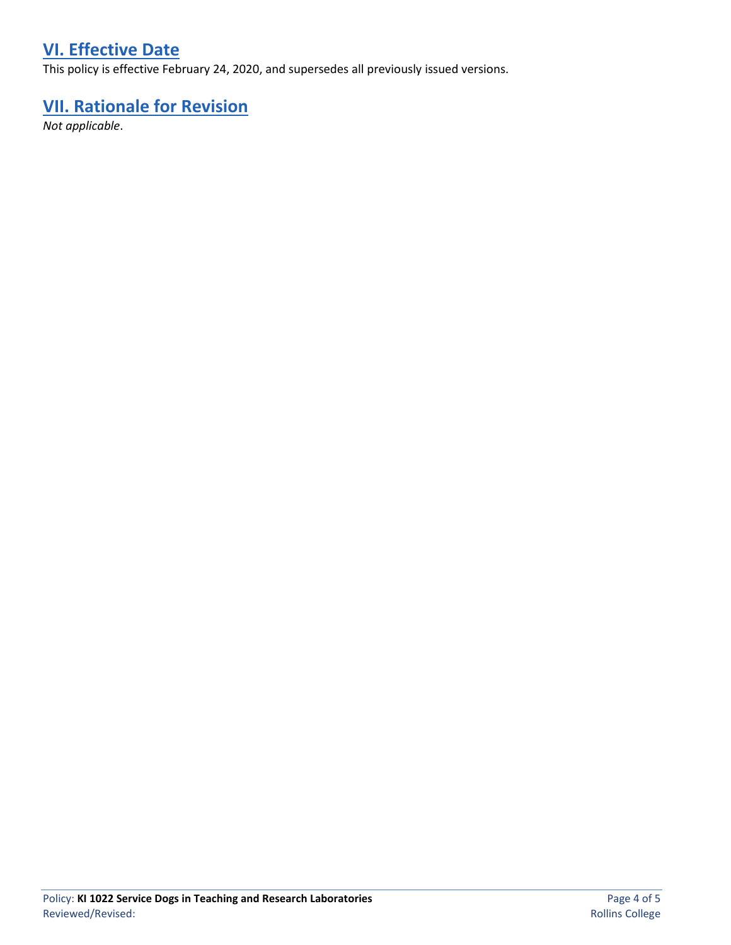# **VI. Effective Date**

This policy is effective February 24, 2020, and supersedes all previously issued versions.

# **VII. Rationale for Revision**

*Not applicable*.